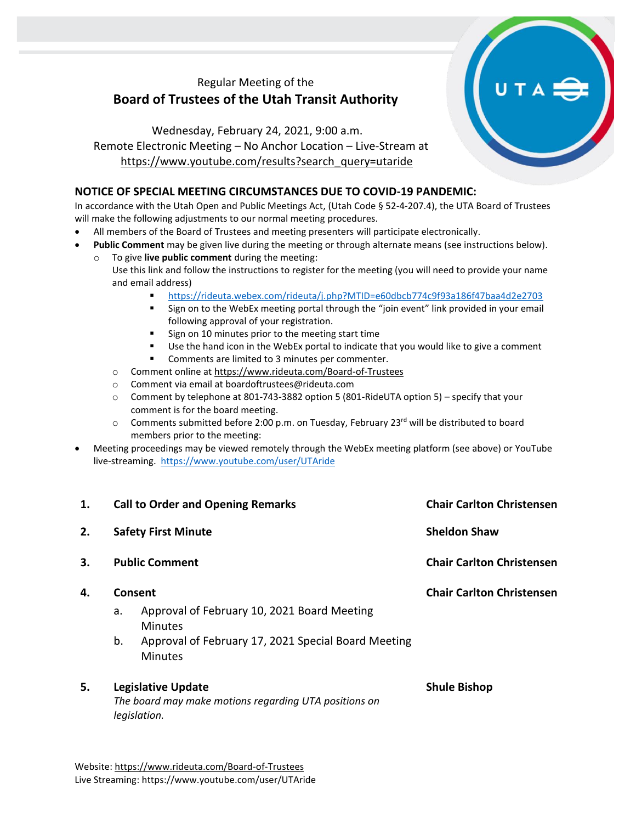## Regular Meeting of the **Board of Trustees of the Utah Transit Authority**

Wednesday, February 24, 2021, 9:00 a.m. Remote Electronic Meeting – No Anchor Location – Live-Stream at [https://www.youtube.com/results?search\\_query=utaride](https://www.youtube.com/results?search_query=utaride)

## **NOTICE OF SPECIAL MEETING CIRCUMSTANCES DUE TO COVID-19 PANDEMIC:**

In accordance with the Utah Open and Public Meetings Act, (Utah Code § 52-4-207.4), the UTA Board of Trustees will make the following adjustments to our normal meeting procedures.

- All members of the Board of Trustees and meeting presenters will participate electronically.
- **Public Comment** may be given live during the meeting or through alternate means (see instructions below).
	- To give live public comment during the meeting: Use this link and follow the instructions to register for the meeting (you will need to provide your name and email address)
		- <https://rideuta.webex.com/rideuta/j.php?MTID=e60dbcb774c9f93a186f47baa4d2e2703>
		- Sign on to the WebEx meeting portal through the "join event" link provided in your email following approval of your registration.
		- Sign on 10 minutes prior to the meeting start time
		- Use the hand icon in the WebEx portal to indicate that you would like to give a comment
		- Comments are limited to 3 minutes per commenter.
		- o Comment online a[t https://www.rideuta.com/Board-of-Trustees](https://www.rideuta.com/Board-of-Trustees)
		- o Comment via email at [boardoftrustees@rideuta.com](mailto:boardoftrustees@rideuta.com)
		- $\circ$  Comment by telephone at 801-743-3882 option 5 (801-RideUTA option 5) specify that your comment is for the board meeting.
		- $\circ$  Comments submitted before 2:00 p.m. on Tuesday, February 23rd will be distributed to board members prior to the meeting:
- Meeting proceedings may be viewed remotely through the WebEx meeting platform (see above) or YouTube live-streaming. <https://www.youtube.com/user/UTAride>

| 1. |                                                                                                    | <b>Call to Order and Opening Remarks</b>                              | <b>Chair Carlton Christensen</b> |
|----|----------------------------------------------------------------------------------------------------|-----------------------------------------------------------------------|----------------------------------|
| 2. | <b>Safety First Minute</b>                                                                         |                                                                       | <b>Sheldon Shaw</b>              |
| 3. | <b>Public Comment</b>                                                                              |                                                                       | <b>Chair Carlton Christensen</b> |
| 4. | Consent                                                                                            |                                                                       | <b>Chair Carlton Christensen</b> |
|    | a.                                                                                                 | Approval of February 10, 2021 Board Meeting<br><b>Minutes</b>         |                                  |
|    | b.                                                                                                 | Approval of February 17, 2021 Special Board Meeting<br><b>Minutes</b> |                                  |
| 5. | <b>Legislative Update</b><br>The board may make motions regarding UTA positions on<br>legislation. |                                                                       | <b>Shule Bishop</b>              |